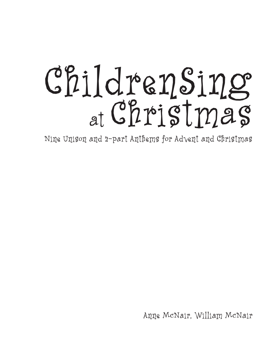# ChildrenSing at Christmas

Nine Unison and 2-part Anthems for Advent and Christmas

Anne McNair, William McNair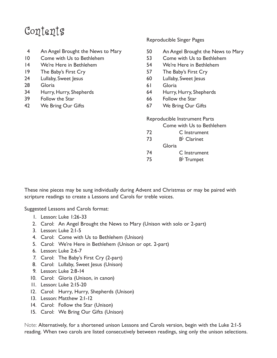## Contents

- 4 An Angel Brought the News to Mary
- 10 Come with Us to Bethlehem
- 14 We're Here in Bethlehem
- 19 The Baby's First Cry
- 24 Lullaby, Sweet Jesus
- 28 Gloria
- 34 Hurry, Hurry, Shepherds
- 39 Follow the Star
- 42 We Bring Our Gifts

#### Reproducible Singer Pages

- 50 An Angel Brought the News to Mary
- 53 Come with Us to Bethlehem
- 54 We're Here in Bethlehem
- 57 The Baby's First Cry
- 60 Lullaby, Sweet Jesus
- 61 Gloria
- 64 Hurry, Hurry, Shepherds
- 66 Follow the Star
- 67 We Bring Our Gifts

Reproducible Instrument Parts

|  |  |  | Come with Us to Bethlehem |
|--|--|--|---------------------------|
|--|--|--|---------------------------|

| 72  |        | C Instrument         |
|-----|--------|----------------------|
| -73 |        | $B^{\flat}$ Clarinet |
|     | Gloria |                      |
| - 1 |        |                      |

- 74 C Instrument
- 75 B $\flat$  Trumpet

These nine pieces may be sung individually during Advent and Christmas or may be paired with scripture readings to create a Lessons and Carols for treble voices.

Suggested Lessons and Carols format:

- 1. Lesson: Luke 1:26-33
- 2. Carol: An Angel Brought the News to Mary (Unison with solo or 2-part)
- 3. Lesson: Luke 2:1-5
- 4. Carol: Come with Us to Bethlehem (Unison)
- 5. Carol: We're Here in Bethlehem (Unison or opt. 2-part)
- 6. Lesson: Luke 2:6-7
- 7. Carol: The Baby's First Cry (2-part)
- 8. Carol: Lullaby, Sweet Jesus (Unison)
- 9. Lesson: Luke 2:8-14
- 10. Carol: Gloria (Unison, in canon)
- 11. Lesson: Luke 2:15-20
- 12. Carol: Hurry, Hurry, Shepherds (Unison)
- 13. Lesson: Matthew 2:1-12
- 14. Carol: Follow the Star (Unison)
- 15. Carol: We Bring Our Gifts (Unison)

Note: Alternatively, for a shortened unison Lessons and Carols version, begin with the Luke 2:1-5 reading. When two carols are listed consecutively between readings, sing only the unison selections.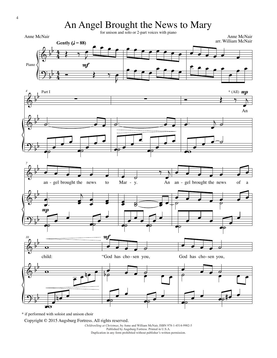An Angel Brought the News to Mary

for unison and solo or 2-part voices with piano









\* if performed with soloist and unison choir

Copyright © 2015 Augsburg Fortress. All rights reserved.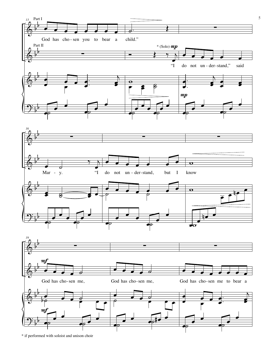

\* if performed with soloist and unison choir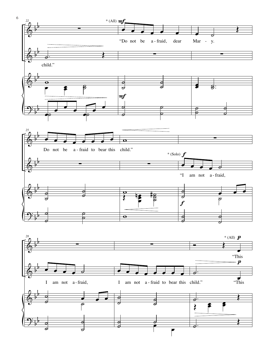

6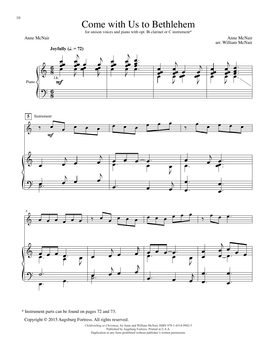### Come with Us to Bethlehem

for unison voices and piano with opt. B $\flat$  clarinet or C instrument\*

Anne McNair

Anne McNair arr. William McNair







\* Instrument parts can be found on pages 72 and 73.

Copyright © 2015 Augsburg Fortress. All rights reserved.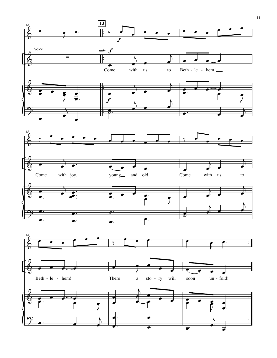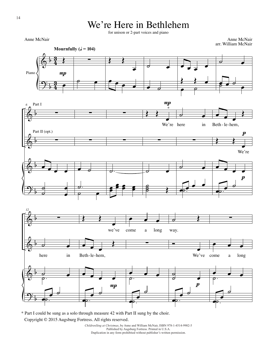We're Here in Bethlehem

for unison or 2-part voices and piano

Anne McNair

Anne McNair

*6*

*12*

 $\pmb{\phi}$  $\Theta$ : b b  $\frac{3}{4}$  $\frac{3}{2}$  $\frac{5}{4}$  $\frac{3}{2}$ Piano  $\frac{1}{\sqrt{2}}$ œ **Mournfully (** $J = 104$ **)**  $mp$ ∑  $\circ$  $\leftarrow$ œ  $\overline{\cdot}$   $\overline{\cdot}$ ˙ œ  $\bullet$   $\circ$  $\overrightarrow{e}$ œ  $\leftarrow$  $\begin{array}{ccc} \bullet & \circ \end{array}$ ˙ œ  $e^{\frac{1}{2} \cdot \frac{1}{2} \cdot \frac{1}{2}}$  $\pmb{\phi}$  $\pmb{\phi}$  $\pmb{\phi}$  $\Theta$ b b b b ∑ ∑  $\bullet$   $\bullet$   $\bullet$  $\overline{\phantom{0}}$  $\bar{a}$ œ œ Part I Part II (opt.) ∑ ∑  $\overrightarrow{e}$ ˙.  $\overline{\mathscr{C}}$ ∑ ∑ ˙. œœ  $\frac{2e}{2}$  $\begin{array}{c} \begin{array}{c} \bullet \\ \bullet \\ \bullet \end{array} \end{array}$  $\overline{\phantom{a}}$ We're here in ∑ ˙ œ  $\overrightarrow{e}$  $\boldsymbol{m}$ \* ˙ œ ∑ ˙ œ  $\epsilon$ ˙. <sup>œ</sup> <sup>œ</sup> <sup>œ</sup> Œ Beth - le-hem,  $\sum_{i=1}^{n}$  $\overline{\phantom{a}}$ We're <sup>œ</sup> <sup>œ</sup> <sup>œ</sup> <sup>œ</sup> œ  $\overline{\phantom{a}}$ 。<br>。  $\boldsymbol{p}$  $\frac{p}{2}$  $\pmb{\phi}$  $\pmb{\phi}$  $\pmb{\phi}$  $\Theta$ b b b b ∑ <mark>。</mark> here in ˙ œ ˙. œ  $\begin{array}{c} \begin{array}{c} \hline \hline \hline \hline \end{array} \end{array}$ ˙.  $\leftarrow$  $\overline{\phantom{a}}$ we've <sup>œ</sup> <sup>œ</sup> <sup>œ</sup> Œ Beth-le-hem, <sup>œ</sup> <sup>œ</sup> <sup>œ</sup> <sup>œ</sup> œ  $\overline{\bullet}$ ˙.  $mp$ œ œ œ come a long ∑ ● <br>⊘ · **.**<br>P œ œ  $\overline{\phantom{a}}$ ˙.  $\circ$ way. <u>o</u> We've ˙ ˙ œ œ  $\begin{array}{c} \begin{array}{c} \hline \hline \hline \hline \end{array} \end{array}$ ˙.  $\boldsymbol{p}$ ∑ <u></u> come a long ● <br>⊘ ∴ ˙. œ œ  $\overline{\phantom{a}}$ **.**<br>• arr. William McNair

\* Part I could be sung as a solo through measure 42 with Part II sung by the choir. Copyright © 2015 Augsburg Fortress. All rights reserved.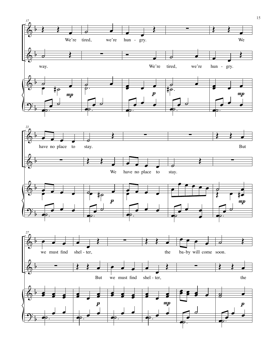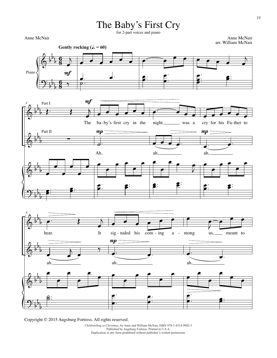#### The Baby's First Cry

for 2-part voices and piano

Anne McNair

Anne McNair arr. William McNair



Copyright © 2015 Augsburg Fortress. All rights reserved.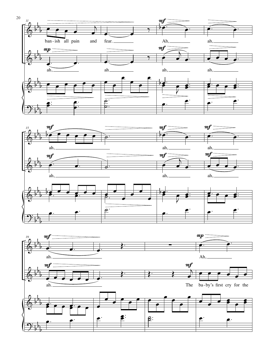

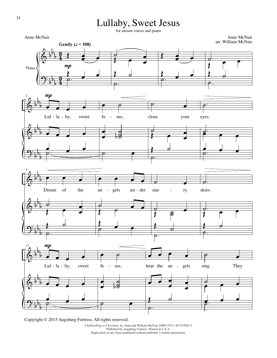#### Lullaby, Sweet Jesus

for unison voices and piano

Anne McNair





Copyright © 2015 Augsburg Fortress. All rights reserved.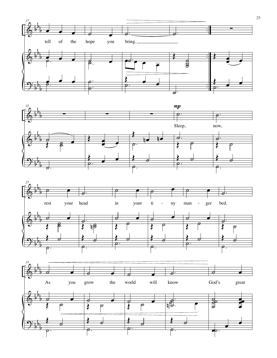





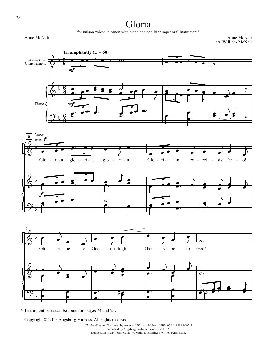#### Gloria

for unison voices in canon with piano and opt. B<sub>b</sub> trumpet or C instrument\*

Anne McNair

Anne McNair arr. William McNair



\* Instrument parts can be found on pages 74 and 75.

Copyright © 2015 Augsburg Fortress. All rights reserved.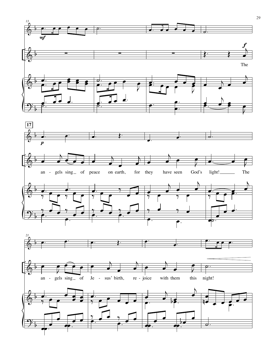



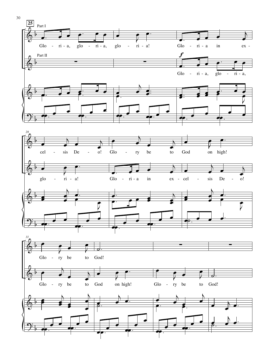

30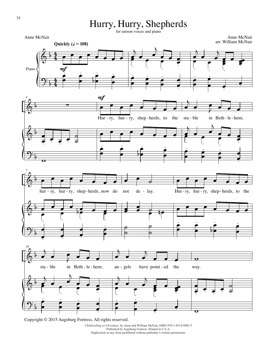#### Hurry, Hurry, Shepherds

for unison voices and piano

Anne McNair



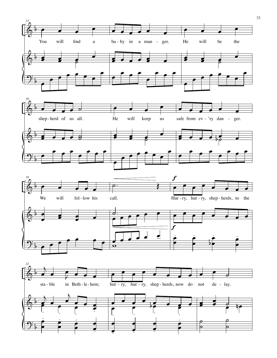





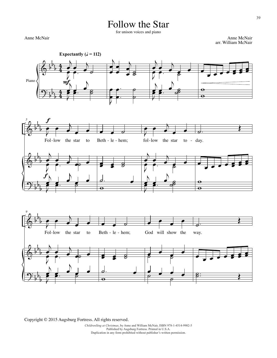#### Follow the Star

for unison voices and piano

Anne McNair

Anne McNair arr. William McNair





Copyright © 2015 Augsburg Fortress. All rights reserved.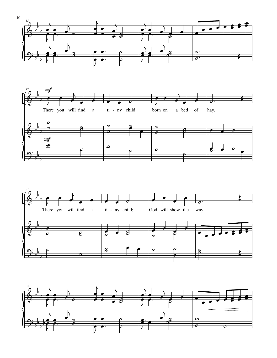





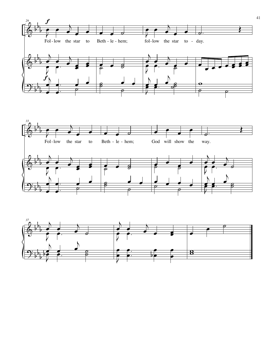



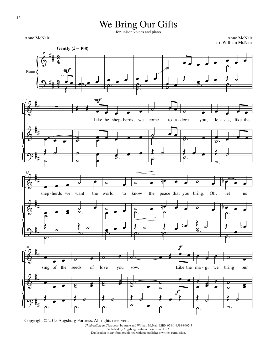#### We Bring Our Gifts

for unison voices and piano

Anne McNair

Anne McNair arr. William McNair

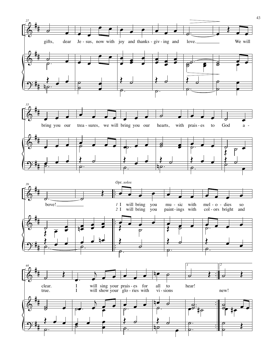

43